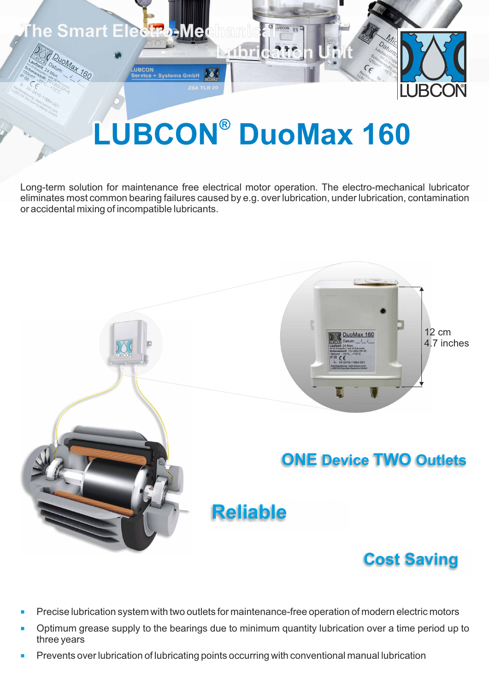

## **LUBCON® DuoMax 160**

Long-term solution for maintenance free electrical motor operation. The electro-mechanical lubricator eliminates most common bearing failures caused by e.g. over lubrication, under lubrication, contamination or accidental mixing of incompatible lubricants.



- ¡ Precise lubrication system with two outlets for maintenance-free operation of modern electric motors
- ¡ Optimum grease supply to the bearings due to minimum quantity lubrication over a time period up to three years
- ¡ Prevents over lubrication of lubricating points occurring with conventional manual lubrication